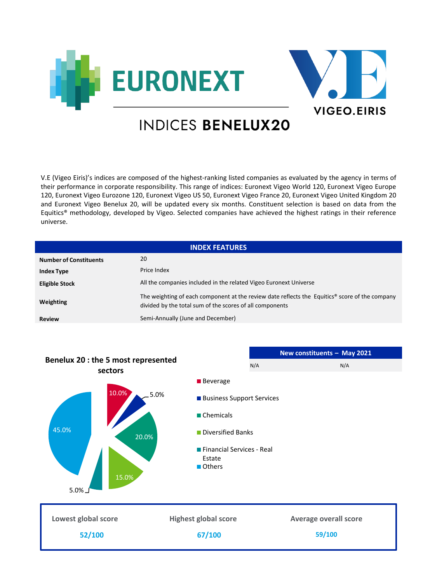



## INDICES BENELUX20

V.E (Vigeo Eiris)'s indices are composed of the highest-ranking listed companies as evaluated by the agency in terms of their performance in corporate responsibility. This range of indices: Euronext Vigeo World 120, Euronext Vigeo Europe 120, Euronext Vigeo Eurozone 120, Euronext Vigeo US 50, Euronext Vigeo France 20, Euronext Vigeo United Kingdom 20 and Euronext Vigeo Benelux 20, will be updated every six months. Constituent selection is based on data from the Equitics® methodology, developed by Vigeo. Selected companies have achieved the highest ratings in their reference universe.

| <b>INDEX FEATURES</b>         |                                                                                                                                                                        |  |  |
|-------------------------------|------------------------------------------------------------------------------------------------------------------------------------------------------------------------|--|--|
| <b>Number of Constituents</b> | 20                                                                                                                                                                     |  |  |
| <b>Index Type</b>             | Price Index                                                                                                                                                            |  |  |
| <b>Eligible Stock</b>         | All the companies included in the related Vigeo Euronext Universe                                                                                                      |  |  |
| Weighting                     | The weighting of each component at the review date reflects the Equitics <sup>®</sup> score of the company<br>divided by the total sum of the scores of all components |  |  |
| <b>Review</b>                 | Semi-Annually (June and December)                                                                                                                                      |  |  |